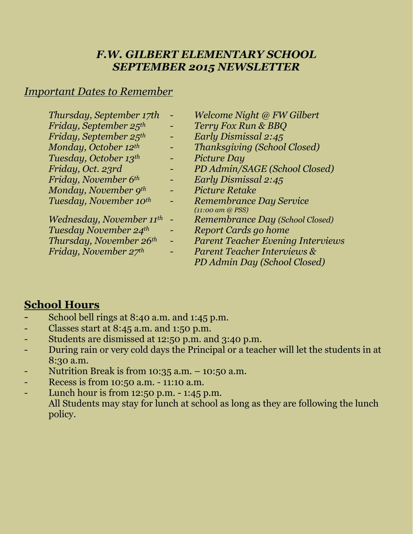# *F.W. GILBERT ELEMENTARY SCHOOL SEPTEMBER 2015 NEWSLETTER*

## *Important Dates to Remember*

| Thursday, September 17th             | Welc    |
|--------------------------------------|---------|
| Friday, September 25th               | Terri   |
| Friday, September 25 <sup>th</sup>   | Earlı   |
| Monday, October 12th                 | Than    |
| Tuesday, October 13th                | Pictu   |
| Friday, Oct. 23rd                    | PDA     |
| Friday, November 6th                 | Earlı   |
| Monday, November 9th                 | Pictu   |
| Tuesday, November 10th               | Rem     |
|                                      | (11:00) |
| Wednesday, November 11 <sup>th</sup> | Rem     |
| Tuesday November 24th                | Repo    |
| Thursday, November 26th              | Pare    |
| Friday, November 27th                | Pare    |
|                                      |         |

- *Thursday, September 17th - Welcome Night @ FW Gilbert*
- *Friday, September 25th - Terry Fox Run & BBQ*
- *Friday, September 25th - Early Dismissal 2:45*
- *Monday, October 12th - Thanksgiving (School Closed)*
- *Tuesday, October 13th - Picture Day*
- *Friday, Oct. 23rd - PD Admin/SAGE (School Closed)*
- *Friday, November 6th - Early Dismissal 2:45*
- *Monday, November 9th - Picture Retake*
- *Tuesday, November 10th - Remembrance Day Service (11:00 am @ PSS)*
- *Wednesday, November 11th - Remembrance Day (School Closed)*
- *nt Cards go home*
- *Thursday, November 26th - Parent Teacher Evening Interviews*
- *Friday, November 27th - Parent Teacher Interviews &*
	- *PD Admin Day (School Closed)*

## **School Hours**

- School bell rings at 8:40 a.m. and 1:45 p.m.
- Classes start at  $8:45$  a.m. and  $1:50$  p.m.
- Students are dismissed at 12:50 p.m. and 3:40 p.m.
- During rain or very cold days the Principal or a teacher will let the students in at 8:30 a.m.
- Nutrition Break is from  $10:35$  a.m.  $10:50$  a.m.
- Recess is from 10:50 a.m. 11:10 a.m.
- Lunch hour is from 12:50 p.m. 1:45 p.m. All Students may stay for lunch at school as long as they are following the lunch policy.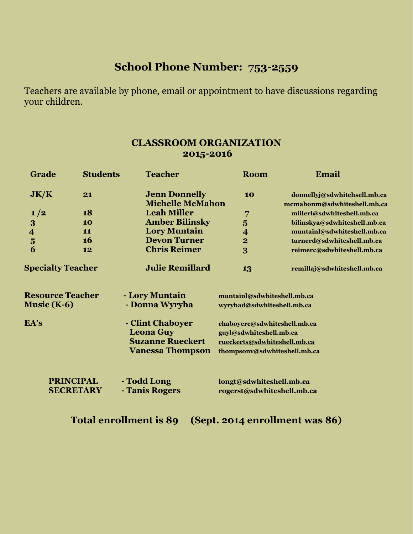# **School Phone Number: 753-2559**

Teachers are available by phone, email or appointment to have discussions regarding your children.

## **CLASSROOM ORGANIZATION 2015-2016**

| Grade                                         | <b>Students</b>                      | <b>Teacher</b>                                                                             | <b>Room</b>                                                                                                             | Email                                                       |
|-----------------------------------------------|--------------------------------------|--------------------------------------------------------------------------------------------|-------------------------------------------------------------------------------------------------------------------------|-------------------------------------------------------------|
| JK/K                                          | 21                                   | <b>Jenn Donnelly</b><br><b>Michelle McMahon</b>                                            | 10                                                                                                                      | donnellyj@sdwhitehsell.mb.ca<br>mcmahonm@sdwhiteshell.mb.ca |
| 1/2                                           | 18                                   | <b>Leah Miller</b>                                                                         | 7                                                                                                                       | millerl@sdwhiteshell.mb.ca                                  |
| $\bf{3}$                                      | 10                                   | <b>Amber Bilinsky</b>                                                                      | $\overline{\mathbf{5}}$                                                                                                 | bilinskya@sdwhiteshell.mb.ca                                |
| $\overline{\mathbf{r}}$                       | 11                                   | <b>Lory Muntain</b>                                                                        | $\overline{\mathbf{4}}$                                                                                                 | muntainl@sdwhiteshell.mb.ca                                 |
| $\overline{\mathbf{5}}$                       | 16                                   | <b>Devon Turner</b>                                                                        | $\overline{\mathbf{2}}$                                                                                                 | turnerd@sdwhiteshell.mb.ca                                  |
| 6                                             | 12                                   | <b>Chris Reimer</b>                                                                        | 3                                                                                                                       | reimerc@sdwhiteshell.mb.ca                                  |
| <b>Specialty Teacher</b>                      |                                      | <b>Julie Remillard</b>                                                                     | 13                                                                                                                      | remillaj@sdwhiteshell.mb.ca                                 |
| <b>Resource Teacher</b><br><b>Music (K-6)</b> |                                      | - Lory Muntain<br>- Donna Wyryha                                                           | muntainl@sdwhiteshell.mb.ca<br>wyryhad@sdwhiteshell.mb.ca                                                               |                                                             |
| EA's                                          |                                      | - Clint Chaboyer<br><b>Leona Guy</b><br><b>Suzanne Rueckert</b><br><b>Vanessa Thompson</b> | chaboyerc@sdwhiteshell.mb.ca<br>guyl@sdwhiteshell.mb.ca<br>rueckerts@sdwhiteshell.mb.ca<br>thompsonv@sdwhiteshell.mb.ca |                                                             |
|                                               | <b>PRINCIPAL</b><br><b>SECRETARY</b> | - Todd Long<br>- Tanis Rogers                                                              | longt@sdwhiteshell.mb.ca<br>rogerst@sdwhiteshell.mb.ca                                                                  |                                                             |

**Total enrollment is 89 (Sept. 2014 enrollment was 86)**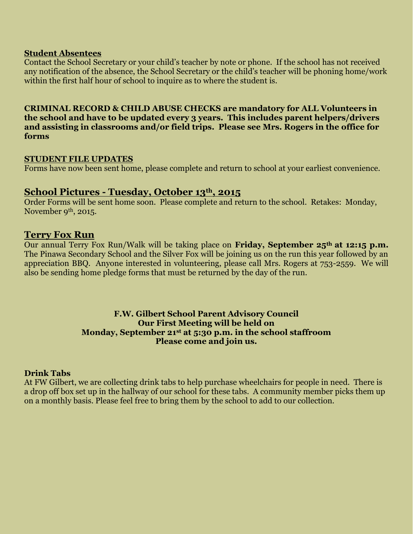#### **Student Absentees**

Contact the School Secretary or your child's teacher by note or phone. If the school has not received any notification of the absence, the School Secretary or the child's teacher will be phoning home/work within the first half hour of school to inquire as to where the student is.

**CRIMINAL RECORD & CHILD ABUSE CHECKS are mandatory for ALL Volunteers in the school and have to be updated every 3 years. This includes parent helpers/drivers and assisting in classrooms and/or field trips. Please see Mrs. Rogers in the office for forms**

#### **STUDENT FILE UPDATES**

Forms have now been sent home, please complete and return to school at your earliest convenience.

### **School Pictures - Tuesday, October 13th, 2015**

Order Forms will be sent home soon. Please complete and return to the school. Retakes: Monday, November 9<sup>th</sup>, 2015.

### **Terry Fox Run**

Our annual Terry Fox Run/Walk will be taking place on **Friday, September 25th at 12:15 p.m.**  The Pinawa Secondary School and the Silver Fox will be joining us on the run this year followed by an appreciation BBQ. Anyone interested in volunteering, please call Mrs. Rogers at 753-2559. We will also be sending home pledge forms that must be returned by the day of the run.

#### **F.W. Gilbert School Parent Advisory Council Our First Meeting will be held on Monday, September 21st at 5:30 p.m. in the school staffroom Please come and join us.**

#### **Drink Tabs**

At FW Gilbert, we are collecting drink tabs to help purchase wheelchairs for people in need. There is a drop off box set up in the hallway of our school for these tabs. A community member picks them up on a monthly basis. Please feel free to bring them by the school to add to our collection.